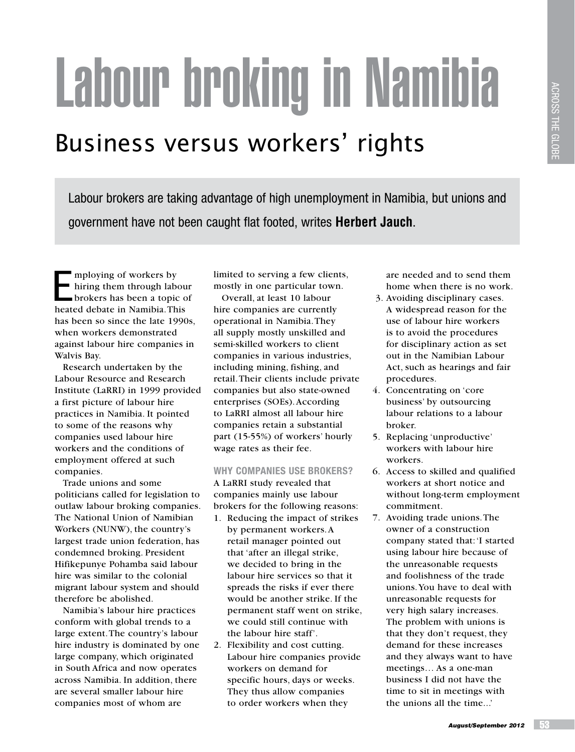# Labour broking in Namibia

## Business versus workers' rights

Labour brokers are taking advantage of high unemployment in Namibia, but unions and government have not been caught flat footed, writes **Herbert Jauch**.

mploying of workers by hiring them through labour brokers has been a topic of heated debate in Namibia. This has been so since the late 1990s, when workers demonstrated against labour hire companies in Walvis Bay.

Research undertaken by the Labour Resource and Research Institute (LaRRI) in 1999 provided a first picture of labour hire practices in Namibia. It pointed to some of the reasons why companies used labour hire workers and the conditions of employment offered at such companies.

Trade unions and some politicians called for legislation to outlaw labour broking companies. The National Union of Namibian Workers (NUNW), the country's largest trade union federation, has condemned broking. President Hifikepunye Pohamba said labour hire was similar to the colonial migrant labour system and should therefore be abolished.

Namibia's labour hire practices conform with global trends to a large extent. The country's labour hire industry is dominated by one large company, which originated in South Africa and now operates across Namibia. In addition, there are several smaller labour hire companies most of whom are

limited to serving a few clients, mostly in one particular town.

Overall, at least 10 labour hire companies are currently operational in Namibia. They all supply mostly unskilled and semi-skilled workers to client companies in various industries, including mining, fishing, and retail. Their clients include private companies but also state-owned enterprises (SOEs). According to LaRRI almost all labour hire companies retain a substantial part (15-55%) of workers' hourly wage rates as their fee.

### **Why companies use brokers?**

A LaRRI study revealed that companies mainly use labour brokers for the following reasons:

- 1. Reducing the impact of strikes by permanent workers. A retail manager pointed out that 'after an illegal strike, we decided to bring in the labour hire services so that it spreads the risks if ever there would be another strike. If the permanent staff went on strike, we could still continue with the labour hire staff'.
- 2. Flexibility and cost cutting. Labour hire companies provide workers on demand for specific hours, days or weeks. They thus allow companies to order workers when they

are needed and to send them home when there is no work.

- 3. Avoiding disciplinary cases. A widespread reason for the use of labour hire workers is to avoid the procedures for disciplinary action as set out in the Namibian Labour Act, such as hearings and fair procedures.
- 4. Concentrating on 'core business' by outsourcing labour relations to a labour broker.
- 5. Replacing 'unproductive' workers with labour hire workers.
- 6. Access to skilled and qualified workers at short notice and without long-term employment commitment.
- 7. Avoiding trade unions. The owner of a construction company stated that: 'I started using labour hire because of the unreasonable requests and foolishness of the trade unions. You have to deal with unreasonable requests for very high salary increases. The problem with unions is that they don't request, they demand for these increases and they always want to have meetings… As a one-man business I did not have the time to sit in meetings with the unions all the time...'